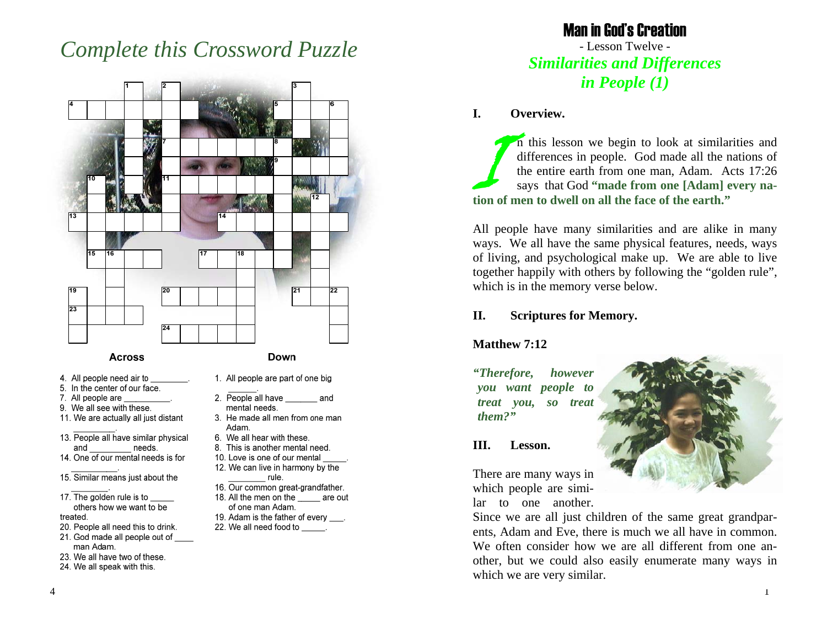# *Complete this Crossword Puzzle*



- 13. People all have similar physical and needs.
- 14. One of our mental needs is for
- 15. Similar means just about the
- 17. The golden rule is to others how we want to be treated.
- 20. People all need this to drink.
- 21. God made all people out of man Adam.
- 23. We all have two of these.
- 24. We all speak with this.
- Adam.
- 6. We all hear with these.
- 8. This is another mental need.
- 10. Love is one of our mental 12. We can live in harmony by the
- rule.
- 16. Our common great-grandfather.
- 18. All the men on the are out of one man Adam.
- 19. Adam is the father of every \_\_\_.
- 22. We all need food to

### Man in God's Creation - Lesson Twelve - *Similarities and Differences in People (1)*

#### **I. Overview.**

In this lesson we begin to look at similarities and differences in people. God made all the nations of the entire earth from one man, Adam. Acts 17:26 says that God **"made from one [Adam] every nation of men to dwell on all the face of the earth."** 

All people have many similarities and are alike in many ways. We all have the same physical features, needs, ways of living, and psychological make up. We are able to live together happily with others by following the "golden rule", which is in the memory verse below.

#### **II. Scriptures for Memory.**

#### **Matthew 7:12**

*"Therefore, however you want people to treat you, so treat them?"* 

#### **III. Lesson.**

There are many ways in which people are similar to one another.

Since we are all just children of the same great grandparents, Adam and Eve, there is much we all have in common. We often consider how we are all different from one another, but we could also easily enumerate many ways in which we are very similar.